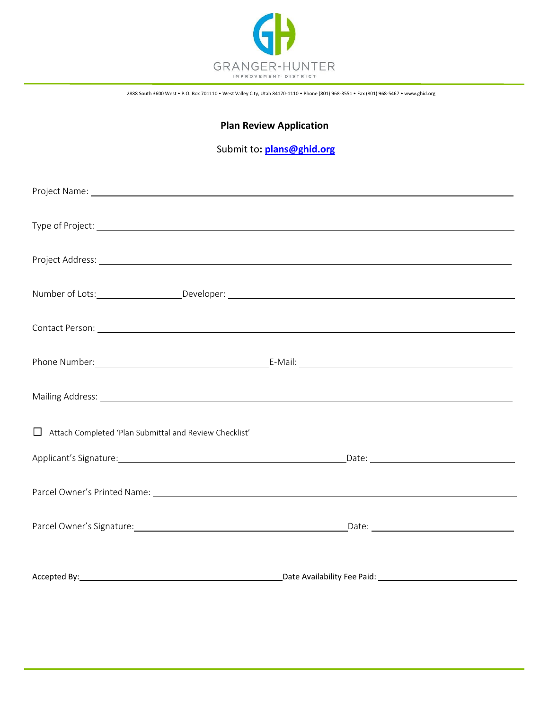

2888 South 3600 West • P.O. Box 701110 • West Valley City, Utah 84170-1110 • Phone (801) 968-3551 • Fax (801) 968-5467 [• www.ghid.org](http://www.ghid.org/)

## **Plan Review Application**

## Submit to**: [plans@ghid.org](mailto:plans@ghid.org)**

| $\Box$ Attach Completed 'Plan Submittal and Review Checklist' |                                                                                                                |
|---------------------------------------------------------------|----------------------------------------------------------------------------------------------------------------|
|                                                               | Applicant's Signature: 1990 and 2001 and 2008 and 2008 and 2008 and 2008 and 2008 and 2008 and 2008 and 2008 a |
|                                                               |                                                                                                                |
|                                                               |                                                                                                                |
|                                                               |                                                                                                                |
|                                                               |                                                                                                                |